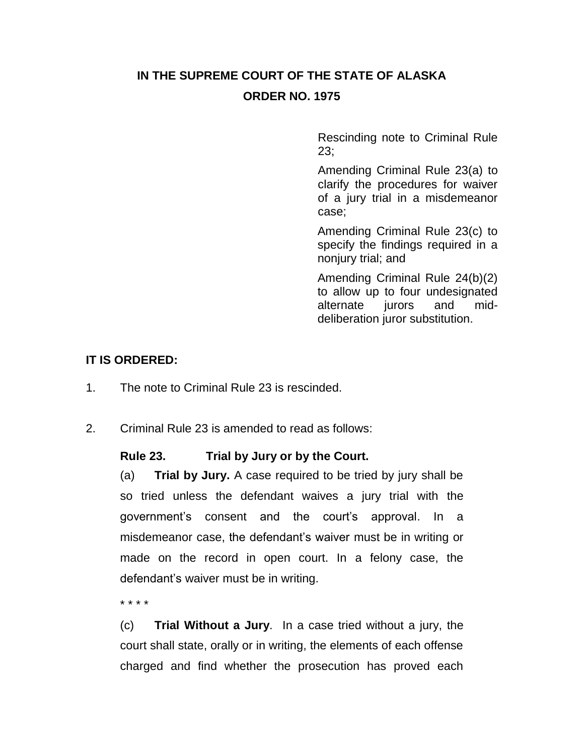# **IN THE SUPREME COURT OF THE STATE OF ALASKA ORDER NO. 1975**

Rescinding note to Criminal Rule 23;

Amending Criminal Rule 23(a) to clarify the procedures for waiver of a jury trial in a misdemeanor case;

Amending Criminal Rule 23(c) to specify the findings required in a nonjury trial; and

Amending Criminal Rule 24(b)(2) to allow up to four undesignated alternate jurors and middeliberation juror substitution.

### **IT IS ORDERED:**

- 1. The note to Criminal Rule 23 is rescinded.
- 2. Criminal Rule 23 is amended to read as follows:

### **Rule 23. Trial by Jury or by the Court.**

(a) **Trial by Jury.** A case required to be tried by jury shall be so tried unless the defendant waives a jury trial with the government's consent and the court's approval. In a misdemeanor case, the defendant's waiver must be in writing or made on the record in open court. In a felony case, the defendant's waiver must be in writing.

\* \* \* \*

(c) **Trial Without a Jury***.* In a case tried without a jury, the court shall state, orally or in writing, the elements of each offense charged and find whether the prosecution has proved each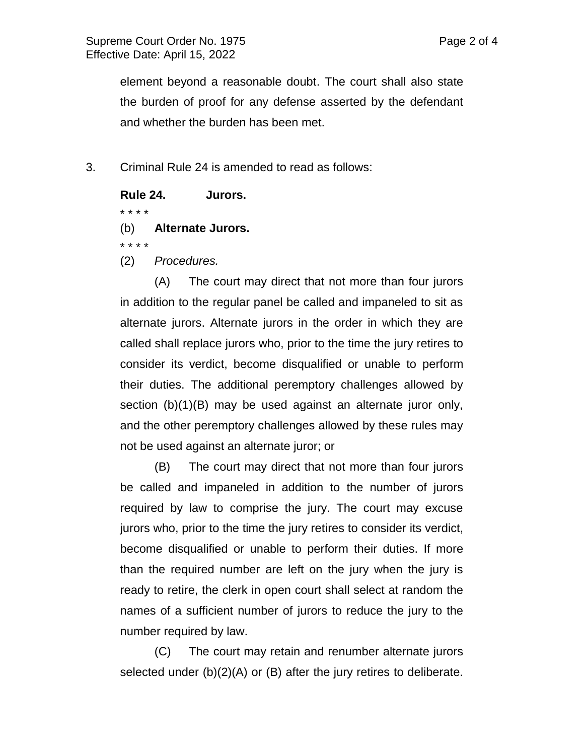element beyond a reasonable doubt. The court shall also state the burden of proof for any defense asserted by the defendant and whether the burden has been met.

3. Criminal Rule 24 is amended to read as follows:

#### **Rule 24. Jurors.**

\* \* \* \*

(b) **Alternate Jurors.**

\* \* \* \*

(2) *Procedures.*

(A) The court may direct that not more than four jurors in addition to the regular panel be called and impaneled to sit as alternate jurors. Alternate jurors in the order in which they are called shall replace jurors who, prior to the time the jury retires to consider its verdict, become disqualified or unable to perform their duties. The additional peremptory challenges allowed by section (b)(1)(B) may be used against an alternate juror only, and the other peremptory challenges allowed by these rules may not be used against an alternate juror; or

(B) The court may direct that not more than four jurors be called and impaneled in addition to the number of jurors required by law to comprise the jury. The court may excuse jurors who, prior to the time the jury retires to consider its verdict, become disqualified or unable to perform their duties. If more than the required number are left on the jury when the jury is ready to retire, the clerk in open court shall select at random the names of a sufficient number of jurors to reduce the jury to the number required by law.

(C) The court may retain and renumber alternate jurors selected under (b)(2)(A) or (B) after the jury retires to deliberate.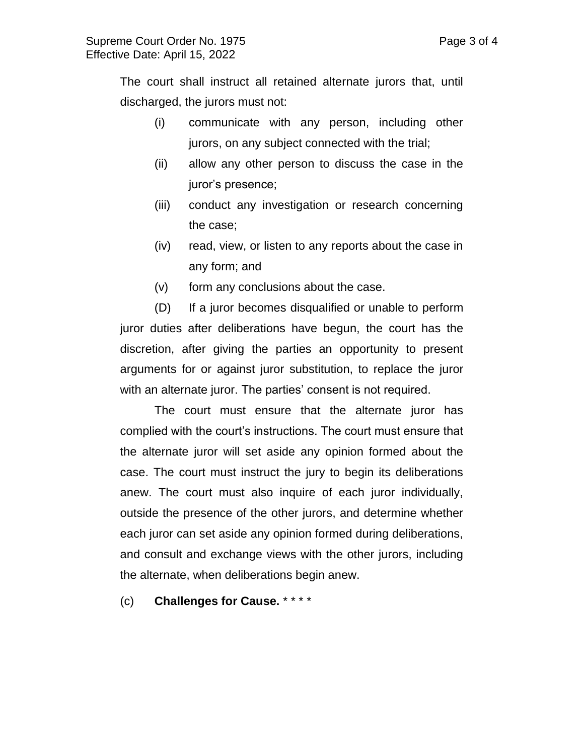The court shall instruct all retained alternate jurors that, until discharged, the jurors must not:

- (i) communicate with any person, including other jurors, on any subject connected with the trial;
- (ii) allow any other person to discuss the case in the juror's presence;
- (iii) conduct any investigation or research concerning the case;
- (iv) read, view, or listen to any reports about the case in any form; and
- (v) form any conclusions about the case.

(D) If a juror becomes disqualified or unable to perform juror duties after deliberations have begun, the court has the discretion, after giving the parties an opportunity to present arguments for or against juror substitution, to replace the juror with an alternate juror. The parties' consent is not required.

The court must ensure that the alternate juror has complied with the court's instructions. The court must ensure that the alternate juror will set aside any opinion formed about the case. The court must instruct the jury to begin its deliberations anew. The court must also inquire of each juror individually, outside the presence of the other jurors, and determine whether each juror can set aside any opinion formed during deliberations, and consult and exchange views with the other jurors, including the alternate, when deliberations begin anew.

(c) **Challenges for Cause.** \* \* \* \*